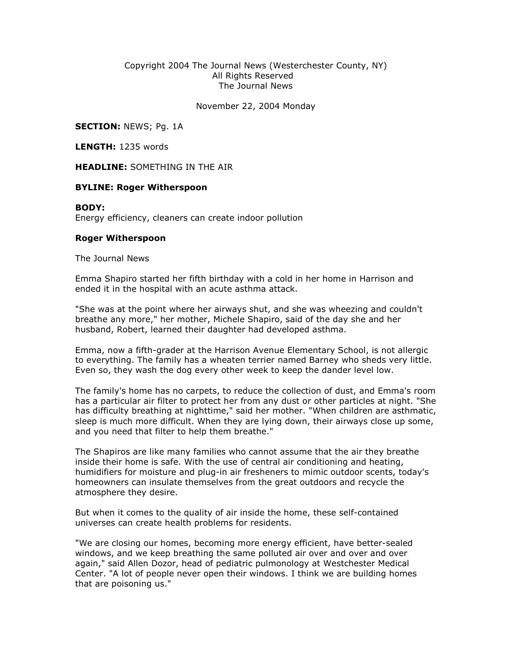## Copyright 2004 The Journal News (Westerchester County, NY) All Rights Reserved The Journal News

November 22, 2004 Monday

SECTION: NEWS; Pg. 1A

LENGTH: 1235 words

HEADLINE: SOMETHING IN THE AIR

## BYLINE: Roger Witherspoon

## BODY:

Energy efficiency, cleaners can create indoor pollution

## Roger Witherspoon

The Journal News

Emma Shapiro started her fifth birthday with a cold in her home in Harrison and ended it in the hospital with an acute asthma attack.

"She was at the point where her airways shut, and she was wheezing and couldn't breathe any more," her mother, Michele Shapiro, said of the day she and her husband, Robert, learned their daughter had developed asthma.

Emma, now a fifth-grader at the Harrison Avenue Elementary School, is not allergic to everything. The family has a wheaten terrier named Barney who sheds very little. Even so, they wash the dog every other week to keep the dander level low.

The family's home has no carpets, to reduce the collection of dust, and Emma's room has a particular air filter to protect her from any dust or other particles at night. "She has difficulty breathing at nighttime," said her mother. "When children are asthmatic, sleep is much more difficult. When they are lying down, their airways close up some, and you need that filter to help them breathe."

The Shapiros are like many families who cannot assume that the air they breathe inside their home is safe. With the use of central air conditioning and heating, humidifiers for moisture and plug-in air fresheners to mimic outdoor scents, today's homeowners can insulate themselves from the great outdoors and recycle the atmosphere they desire.

But when it comes to the quality of air inside the home, these self-contained universes can create health problems for residents.

"We are closing our homes, becoming more energy efficient, have better-sealed windows, and we keep breathing the same polluted air over and over and over again," said Allen Dozor, head of pediatric pulmonology at Westchester Medical Center. "A lot of people never open their windows. I think we are building homes that are poisoning us."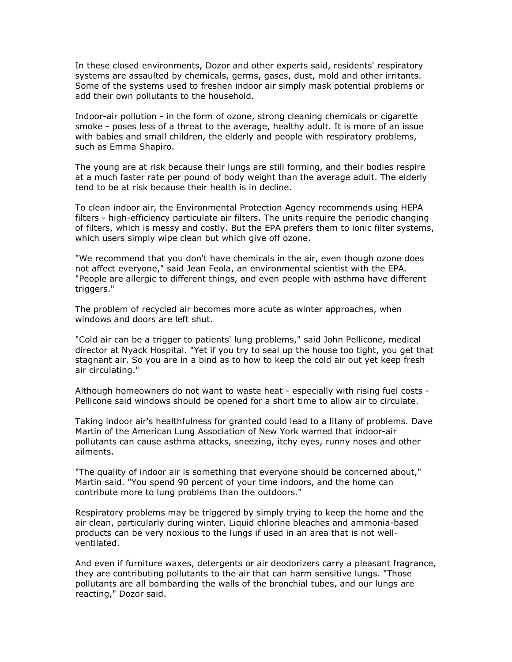In these closed environments, Dozor and other experts said, residents' respiratory systems are assaulted by chemicals, germs, gases, dust, mold and other irritants. Some of the systems used to freshen indoor air simply mask potential problems or add their own pollutants to the household.

Indoor-air pollution - in the form of ozone, strong cleaning chemicals or cigarette smoke - poses less of a threat to the average, healthy adult. It is more of an issue with babies and small children, the elderly and people with respiratory problems, such as Emma Shapiro.

The young are at risk because their lungs are still forming, and their bodies respire at a much faster rate per pound of body weight than the average adult. The elderly tend to be at risk because their health is in decline.

To clean indoor air, the Environmental Protection Agency recommends using HEPA filters - high-efficiency particulate air filters. The units require the periodic changing of filters, which is messy and costly. But the EPA prefers them to ionic filter systems, which users simply wipe clean but which give off ozone.

"We recommend that you don't have chemicals in the air, even though ozone does not affect everyone," said Jean Feola, an environmental scientist with the EPA. "People are allergic to different things, and even people with asthma have different triggers."

The problem of recycled air becomes more acute as winter approaches, when windows and doors are left shut.

"Cold air can be a trigger to patients' lung problems," said John Pellicone, medical director at Nyack Hospital. "Yet if you try to seal up the house too tight, you get that stagnant air. So you are in a bind as to how to keep the cold air out yet keep fresh air circulating."

Although homeowners do not want to waste heat - especially with rising fuel costs - Pellicone said windows should be opened for a short time to allow air to circulate.

Taking indoor air's healthfulness for granted could lead to a litany of problems. Dave Martin of the American Lung Association of New York warned that indoor-air pollutants can cause asthma attacks, sneezing, itchy eyes, runny noses and other ailments.

"The quality of indoor air is something that everyone should be concerned about," Martin said. "You spend 90 percent of your time indoors, and the home can contribute more to lung problems than the outdoors."

Respiratory problems may be triggered by simply trying to keep the home and the air clean, particularly during winter. Liquid chlorine bleaches and ammonia-based products can be very noxious to the lungs if used in an area that is not wellventilated.

And even if furniture waxes, detergents or air deodorizers carry a pleasant fragrance, they are contributing pollutants to the air that can harm sensitive lungs. "Those pollutants are all bombarding the walls of the bronchial tubes, and our lungs are reacting," Dozor said.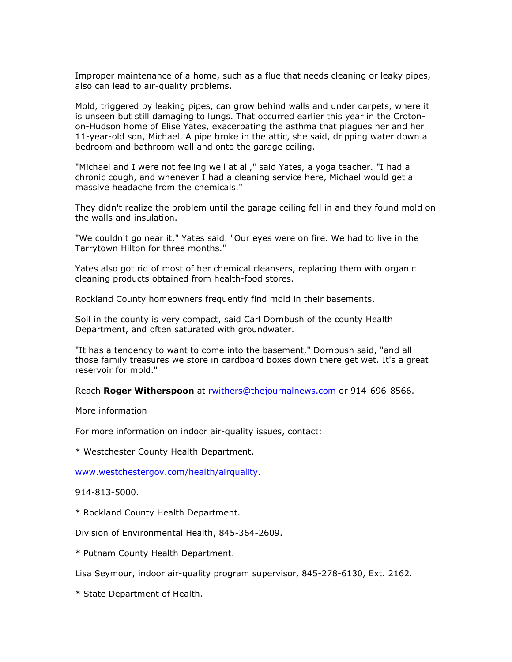Improper maintenance of a home, such as a flue that needs cleaning or leaky pipes, also can lead to air-quality problems.

Mold, triggered by leaking pipes, can grow behind walls and under carpets, where it is unseen but still damaging to lungs. That occurred earlier this year in the Crotonon-Hudson home of Elise Yates, exacerbating the asthma that plagues her and her 11-year-old son, Michael. A pipe broke in the attic, she said, dripping water down a bedroom and bathroom wall and onto the garage ceiling.

"Michael and I were not feeling well at all," said Yates, a yoga teacher. "I had a chronic cough, and whenever I had a cleaning service here, Michael would get a massive headache from the chemicals."

They didn't realize the problem until the garage ceiling fell in and they found mold on the walls and insulation.

"We couldn't go near it," Yates said. "Our eyes were on fire. We had to live in the Tarrytown Hilton for three months."

Yates also got rid of most of her chemical cleansers, replacing them with organic cleaning products obtained from health-food stores.

Rockland County homeowners frequently find mold in their basements.

Soil in the county is very compact, said Carl Dornbush of the county Health Department, and often saturated with groundwater.

"It has a tendency to want to come into the basement," Dornbush said, "and all those family treasures we store in cardboard boxes down there get wet. It's a great reservoir for mold."

Reach Roger Witherspoon at rwithers@thejournalnews.com or 914-696-8566.

More information

For more information on indoor air-quality issues, contact:

\* Westchester County Health Department.

www.westchestergov.com/health/airquality.

914-813-5000.

\* Rockland County Health Department.

Division of Environmental Health, 845-364-2609.

\* Putnam County Health Department.

Lisa Seymour, indoor air-quality program supervisor, 845-278-6130, Ext. 2162.

\* State Department of Health.